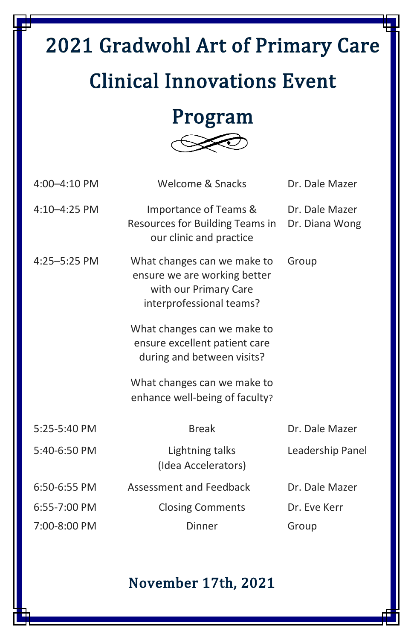# 2021 Gradwohl Art of Primary Care Clinical Innovations Event

## Program



| 4:00-4:10 PM | Welcome & Snacks                                                                                                 | Dr. Dale Mazer                   |
|--------------|------------------------------------------------------------------------------------------------------------------|----------------------------------|
| 4:10-4:25 PM | Importance of Teams &<br>Resources for Building Teams in<br>our clinic and practice                              | Dr. Dale Mazer<br>Dr. Diana Wong |
| 4:25-5:25 PM | What changes can we make to<br>ensure we are working better<br>with our Primary Care<br>interprofessional teams? | Group                            |
|              | What changes can we make to<br>ensure excellent patient care<br>during and between visits?                       |                                  |
|              | What changes can we make to<br>enhance well-being of faculty?                                                    |                                  |
| 5:25-5:40 PM | <b>Break</b>                                                                                                     | Dr. Dale Mazer                   |
| 5:40-6:50 PM | Lightning talks<br>(Idea Accelerators)                                                                           | Leadership Panel                 |
| 6:50-6:55 PM | Assessment and Feedback                                                                                          | Dr. Dale Mazer                   |
| 6:55-7:00 PM | <b>Closing Comments</b>                                                                                          | Dr. Eve Kerr                     |
| 7:00-8:00 PM | Dinner                                                                                                           | Group                            |

#### November 17th, 2021